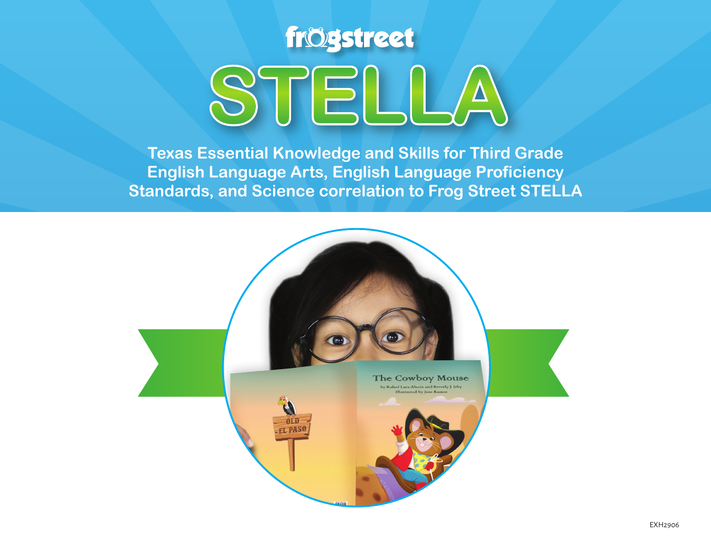

**Texas Essential Knowledge and Skills for Third Grade English Language Arts, English Language Proficiency Standards, and Science correlation to Frog Street STELLA**

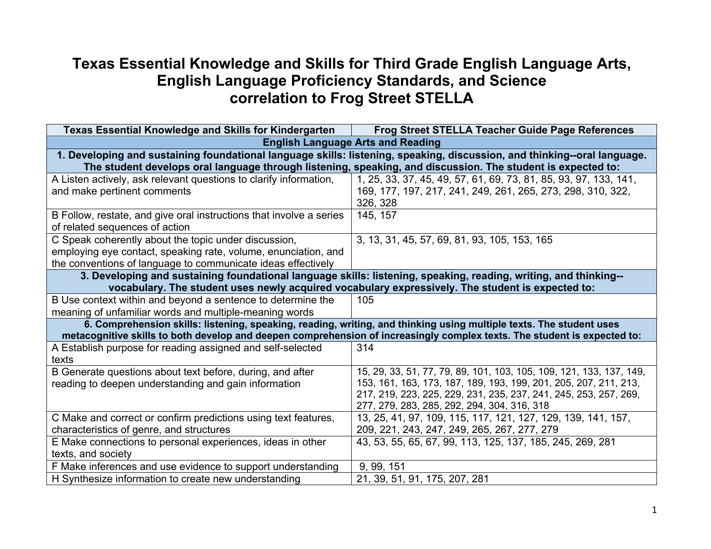## **Texas Essential Knowledge and Skills for Third Grade English Language Arts, English Language Proficiency Standards, and Science correlation to Frog Street STELLA**

| <b>Texas Essential Knowledge and Skills for Kindergarten</b>                                                             | <b>Frog Street STELLA Teacher Guide Page References</b>                                                                  |  |
|--------------------------------------------------------------------------------------------------------------------------|--------------------------------------------------------------------------------------------------------------------------|--|
| <b>English Language Arts and Reading</b>                                                                                 |                                                                                                                          |  |
| 1. Developing and sustaining foundational language skills: listening, speaking, discussion, and thinking--oral language. |                                                                                                                          |  |
|                                                                                                                          | The student develops oral language through listening, speaking, and discussion. The student is expected to:              |  |
| A Listen actively, ask relevant questions to clarify information,                                                        | 1, 25, 33, 37, 45, 49, 57, 61, 69, 73, 81, 85, 93, 97, 133, 141,                                                         |  |
| and make pertinent comments                                                                                              | 169, 177, 197, 217, 241, 249, 261, 265, 273, 298, 310, 322,                                                              |  |
|                                                                                                                          | 326, 328                                                                                                                 |  |
| B Follow, restate, and give oral instructions that involve a series                                                      | 145, 157                                                                                                                 |  |
| of related sequences of action                                                                                           |                                                                                                                          |  |
| C Speak coherently about the topic under discussion,                                                                     | 3, 13, 31, 45, 57, 69, 81, 93, 105, 153, 165                                                                             |  |
| employing eye contact, speaking rate, volume, enunciation, and                                                           |                                                                                                                          |  |
| the conventions of language to communicate ideas effectively                                                             |                                                                                                                          |  |
| 3. Developing and sustaining foundational language skills: listening, speaking, reading, writing, and thinking--         |                                                                                                                          |  |
| vocabulary. The student uses newly acquired vocabulary expressively. The student is expected to:                         |                                                                                                                          |  |
| B Use context within and beyond a sentence to determine the                                                              | 105                                                                                                                      |  |
| meaning of unfamiliar words and multiple-meaning words                                                                   |                                                                                                                          |  |
|                                                                                                                          | 6. Comprehension skills: listening, speaking, reading, writing, and thinking using multiple texts. The student uses      |  |
|                                                                                                                          | metacognitive skills to both develop and deepen comprehension of increasingly complex texts. The student is expected to: |  |
| A Establish purpose for reading assigned and self-selected                                                               | 314                                                                                                                      |  |
| texts                                                                                                                    |                                                                                                                          |  |
| B Generate questions about text before, during, and after                                                                | 15, 29, 33, 51, 77, 79, 89, 101, 103, 105, 109, 121, 133, 137, 149,                                                      |  |
| reading to deepen understanding and gain information                                                                     | 153, 161, 163, 173, 187, 189, 193, 199, 201, 205, 207, 211, 213,                                                         |  |
|                                                                                                                          | 217, 219, 223, 225, 229, 231, 235, 237, 241, 245, 253, 257, 269,                                                         |  |
|                                                                                                                          | 277, 279, 283, 285, 292, 294, 304, 316, 318                                                                              |  |
| C Make and correct or confirm predictions using text features,                                                           | 13, 25, 41, 97, 109, 115, 117, 121, 127, 129, 139, 141, 157,                                                             |  |
| characteristics of genre, and structures                                                                                 | 209, 221, 243, 247, 249, 265, 267, 277, 279                                                                              |  |
| E Make connections to personal experiences, ideas in other                                                               | 43, 53, 55, 65, 67, 99, 113, 125, 137, 185, 245, 269, 281                                                                |  |
| texts, and society                                                                                                       |                                                                                                                          |  |
| F Make inferences and use evidence to support understanding                                                              | 9, 99, 151                                                                                                               |  |
| H Synthesize information to create new understanding                                                                     | 21, 39, 51, 91, 175, 207, 281                                                                                            |  |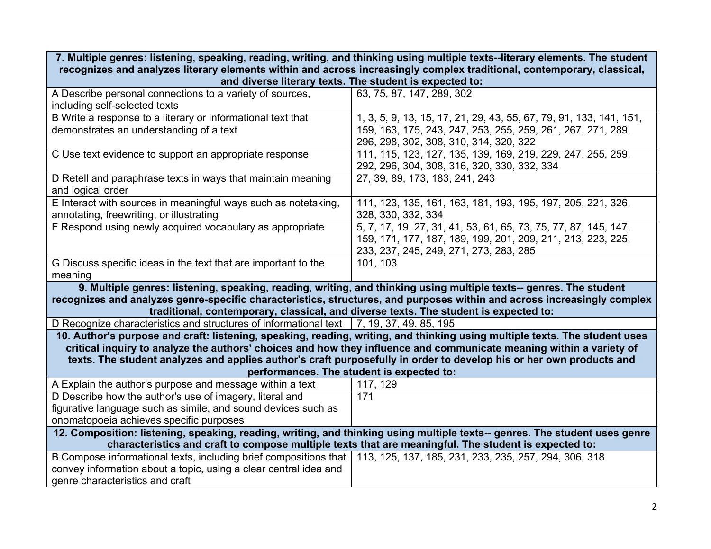| 7. Multiple genres: listening, speaking, reading, writing, and thinking using multiple texts--literary elements. The student                                                      |                                                                                                                                                                                                                                                   |  |
|-----------------------------------------------------------------------------------------------------------------------------------------------------------------------------------|---------------------------------------------------------------------------------------------------------------------------------------------------------------------------------------------------------------------------------------------------|--|
| recognizes and analyzes literary elements within and across increasingly complex traditional, contemporary, classical,<br>and diverse literary texts. The student is expected to: |                                                                                                                                                                                                                                                   |  |
| A Describe personal connections to a variety of sources,                                                                                                                          | 63, 75, 87, 147, 289, 302                                                                                                                                                                                                                         |  |
| including self-selected texts                                                                                                                                                     |                                                                                                                                                                                                                                                   |  |
| B Write a response to a literary or informational text that                                                                                                                       | 1, 3, 5, 9, 13, 15, 17, 21, 29, 43, 55, 67, 79, 91, 133, 141, 151,                                                                                                                                                                                |  |
| demonstrates an understanding of a text                                                                                                                                           | 159, 163, 175, 243, 247, 253, 255, 259, 261, 267, 271, 289,                                                                                                                                                                                       |  |
|                                                                                                                                                                                   | 296, 298, 302, 308, 310, 314, 320, 322                                                                                                                                                                                                            |  |
| C Use text evidence to support an appropriate response                                                                                                                            | 111, 115, 123, 127, 135, 139, 169, 219, 229, 247, 255, 259,                                                                                                                                                                                       |  |
|                                                                                                                                                                                   | 292, 296, 304, 308, 316, 320, 330, 332, 334                                                                                                                                                                                                       |  |
| D Retell and paraphrase texts in ways that maintain meaning                                                                                                                       | 27, 39, 89, 173, 183, 241, 243                                                                                                                                                                                                                    |  |
| and logical order                                                                                                                                                                 |                                                                                                                                                                                                                                                   |  |
| E Interact with sources in meaningful ways such as notetaking,                                                                                                                    | 111, 123, 135, 161, 163, 181, 193, 195, 197, 205, 221, 326,                                                                                                                                                                                       |  |
| annotating, freewriting, or illustrating                                                                                                                                          | 328, 330, 332, 334                                                                                                                                                                                                                                |  |
| F Respond using newly acquired vocabulary as appropriate                                                                                                                          | 5, 7, 17, 19, 27, 31, 41, 53, 61, 65, 73, 75, 77, 87, 145, 147,                                                                                                                                                                                   |  |
|                                                                                                                                                                                   | 159, 171, 177, 187, 189, 199, 201, 209, 211, 213, 223, 225,                                                                                                                                                                                       |  |
|                                                                                                                                                                                   | 233, 237, 245, 249, 271, 273, 283, 285                                                                                                                                                                                                            |  |
| G Discuss specific ideas in the text that are important to the                                                                                                                    | 101, 103                                                                                                                                                                                                                                          |  |
| meaning                                                                                                                                                                           |                                                                                                                                                                                                                                                   |  |
|                                                                                                                                                                                   | 9. Multiple genres: listening, speaking, reading, writing, and thinking using multiple texts-- genres. The student                                                                                                                                |  |
|                                                                                                                                                                                   | recognizes and analyzes genre-specific characteristics, structures, and purposes within and across increasingly complex                                                                                                                           |  |
|                                                                                                                                                                                   | traditional, contemporary, classical, and diverse texts. The student is expected to:                                                                                                                                                              |  |
| D Recognize characteristics and structures of informational text $\mid$ 7, 19, 37, 49, 85, 195                                                                                    |                                                                                                                                                                                                                                                   |  |
|                                                                                                                                                                                   | 10. Author's purpose and craft: listening, speaking, reading, writing, and thinking using multiple texts. The student uses<br>critical inquiry to analyze the authors' choices and how they influence and communicate meaning within a variety of |  |
|                                                                                                                                                                                   | texts. The student analyzes and applies author's craft purposefully in order to develop his or her own products and                                                                                                                               |  |
|                                                                                                                                                                                   | performances. The student is expected to:                                                                                                                                                                                                         |  |
| A Explain the author's purpose and message within a text                                                                                                                          | 117, 129                                                                                                                                                                                                                                          |  |
| D Describe how the author's use of imagery, literal and                                                                                                                           | 171                                                                                                                                                                                                                                               |  |
| figurative language such as simile, and sound devices such as                                                                                                                     |                                                                                                                                                                                                                                                   |  |
| onomatopoeia achieves specific purposes                                                                                                                                           |                                                                                                                                                                                                                                                   |  |
| 12. Composition: listening, speaking, reading, writing, and thinking using multiple texts-- genres. The student uses genre                                                        |                                                                                                                                                                                                                                                   |  |
| characteristics and craft to compose multiple texts that are meaningful. The student is expected to:                                                                              |                                                                                                                                                                                                                                                   |  |
| B Compose informational texts, including brief compositions that   113, 125, 137, 185, 231, 233, 235, 257, 294, 306, 318                                                          |                                                                                                                                                                                                                                                   |  |
| convey information about a topic, using a clear central idea and                                                                                                                  |                                                                                                                                                                                                                                                   |  |
| genre characteristics and craft                                                                                                                                                   |                                                                                                                                                                                                                                                   |  |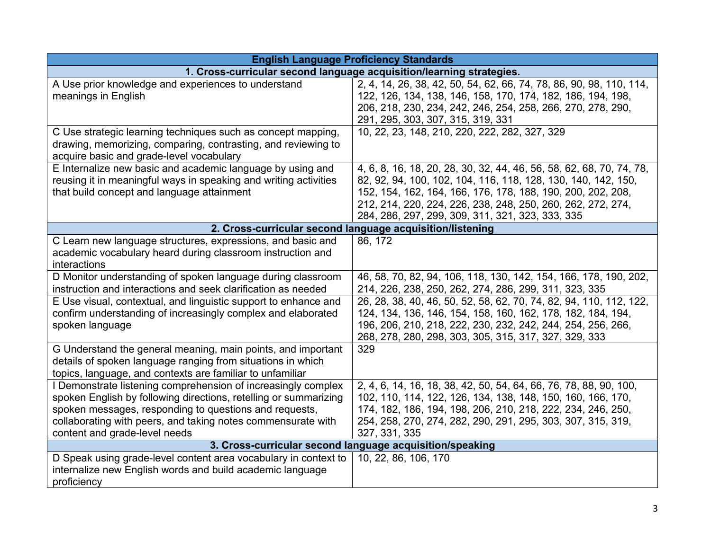| <b>English Language Proficiency Standards</b>                                                                              |                                                                      |  |
|----------------------------------------------------------------------------------------------------------------------------|----------------------------------------------------------------------|--|
| 1. Cross-curricular second language acquisition/learning strategies.                                                       |                                                                      |  |
| A Use prior knowledge and experiences to understand                                                                        | 2, 4, 14, 26, 38, 42, 50, 54, 62, 66, 74, 78, 86, 90, 98, 110, 114,  |  |
| meanings in English                                                                                                        | 122, 126, 134, 138, 146, 158, 170, 174, 182, 186, 194, 198,          |  |
|                                                                                                                            | 206, 218, 230, 234, 242, 246, 254, 258, 266, 270, 278, 290,          |  |
|                                                                                                                            | 291, 295, 303, 307, 315, 319, 331                                    |  |
| C Use strategic learning techniques such as concept mapping,                                                               | 10, 22, 23, 148, 210, 220, 222, 282, 327, 329                        |  |
| drawing, memorizing, comparing, contrasting, and reviewing to                                                              |                                                                      |  |
| acquire basic and grade-level vocabulary                                                                                   |                                                                      |  |
| E Internalize new basic and academic language by using and                                                                 | 4, 6, 8, 16, 18, 20, 28, 30, 32, 44, 46, 56, 58, 62, 68, 70, 74, 78, |  |
| reusing it in meaningful ways in speaking and writing activities                                                           | 82, 92, 94, 100, 102, 104, 116, 118, 128, 130, 140, 142, 150,        |  |
| that build concept and language attainment                                                                                 | 152, 154, 162, 164, 166, 176, 178, 188, 190, 200, 202, 208,          |  |
|                                                                                                                            | 212, 214, 220, 224, 226, 238, 248, 250, 260, 262, 272, 274,          |  |
|                                                                                                                            | 284, 286, 297, 299, 309, 311, 321, 323, 333, 335                     |  |
|                                                                                                                            | 2. Cross-curricular second language acquisition/listening            |  |
| C Learn new language structures, expressions, and basic and                                                                | 86, 172                                                              |  |
| academic vocabulary heard during classroom instruction and                                                                 |                                                                      |  |
| interactions                                                                                                               |                                                                      |  |
| D Monitor understanding of spoken language during classroom                                                                | 46, 58, 70, 82, 94, 106, 118, 130, 142, 154, 166, 178, 190, 202,     |  |
| instruction and interactions and seek clarification as needed                                                              | 214, 226, 238, 250, 262, 274, 286, 299, 311, 323, 335                |  |
| E Use visual, contextual, and linguistic support to enhance and                                                            | 26, 28, 38, 40, 46, 50, 52, 58, 62, 70, 74, 82, 94, 110, 112, 122,   |  |
| confirm understanding of increasingly complex and elaborated                                                               | 124, 134, 136, 146, 154, 158, 160, 162, 178, 182, 184, 194,          |  |
| spoken language                                                                                                            | 196, 206, 210, 218, 222, 230, 232, 242, 244, 254, 256, 266,          |  |
|                                                                                                                            | 268, 278, 280, 298, 303, 305, 315, 317, 327, 329, 333                |  |
| G Understand the general meaning, main points, and important                                                               | 329                                                                  |  |
| details of spoken language ranging from situations in which                                                                |                                                                      |  |
| topics, language, and contexts are familiar to unfamiliar<br>I Demonstrate listening comprehension of increasingly complex | 2, 4, 6, 14, 16, 18, 38, 42, 50, 54, 64, 66, 76, 78, 88, 90, 100,    |  |
| spoken English by following directions, retelling or summarizing                                                           | 102, 110, 114, 122, 126, 134, 138, 148, 150, 160, 166, 170,          |  |
| spoken messages, responding to questions and requests,                                                                     | 174, 182, 186, 194, 198, 206, 210, 218, 222, 234, 246, 250,          |  |
| collaborating with peers, and taking notes commensurate with                                                               | 254, 258, 270, 274, 282, 290, 291, 295, 303, 307, 315, 319,          |  |
| content and grade-level needs                                                                                              | 327, 331, 335                                                        |  |
|                                                                                                                            | 3. Cross-curricular second language acquisition/speaking             |  |
| D Speak using grade-level content area vocabulary in context to                                                            | 10, 22, 86, 106, 170                                                 |  |
| internalize new English words and build academic language                                                                  |                                                                      |  |
| proficiency                                                                                                                |                                                                      |  |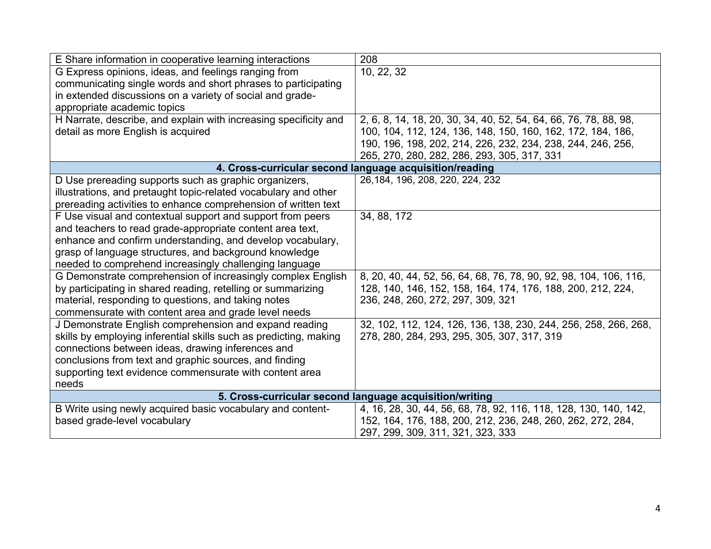| E Share information in cooperative learning interactions          | 208                                                               |  |
|-------------------------------------------------------------------|-------------------------------------------------------------------|--|
| G Express opinions, ideas, and feelings ranging from              | 10, 22, 32                                                        |  |
| communicating single words and short phrases to participating     |                                                                   |  |
| in extended discussions on a variety of social and grade-         |                                                                   |  |
| appropriate academic topics                                       |                                                                   |  |
| H Narrate, describe, and explain with increasing specificity and  | 2, 6, 8, 14, 18, 20, 30, 34, 40, 52, 54, 64, 66, 76, 78, 88, 98,  |  |
| detail as more English is acquired                                | 100, 104, 112, 124, 136, 148, 150, 160, 162, 172, 184, 186,       |  |
|                                                                   | 190, 196, 198, 202, 214, 226, 232, 234, 238, 244, 246, 256,       |  |
|                                                                   | 265, 270, 280, 282, 286, 293, 305, 317, 331                       |  |
| 4. Cross-curricular second language acquisition/reading           |                                                                   |  |
| D Use prereading supports such as graphic organizers,             | 26, 184, 196, 208, 220, 224, 232                                  |  |
| illustrations, and pretaught topic-related vocabulary and other   |                                                                   |  |
| prereading activities to enhance comprehension of written text    |                                                                   |  |
| F Use visual and contextual support and support from peers        | 34, 88, 172                                                       |  |
| and teachers to read grade-appropriate content area text,         |                                                                   |  |
| enhance and confirm understanding, and develop vocabulary,        |                                                                   |  |
| grasp of language structures, and background knowledge            |                                                                   |  |
| needed to comprehend increasingly challenging language            |                                                                   |  |
| G Demonstrate comprehension of increasingly complex English       | 8, 20, 40, 44, 52, 56, 64, 68, 76, 78, 90, 92, 98, 104, 106, 116, |  |
| by participating in shared reading, retelling or summarizing      | 128, 140, 146, 152, 158, 164, 174, 176, 188, 200, 212, 224,       |  |
| material, responding to questions, and taking notes               | 236, 248, 260, 272, 297, 309, 321                                 |  |
| commensurate with content area and grade level needs              |                                                                   |  |
| J Demonstrate English comprehension and expand reading            | 32, 102, 112, 124, 126, 136, 138, 230, 244, 256, 258, 266, 268,   |  |
| skills by employing inferential skills such as predicting, making | 278, 280, 284, 293, 295, 305, 307, 317, 319                       |  |
| connections between ideas, drawing inferences and                 |                                                                   |  |
| conclusions from text and graphic sources, and finding            |                                                                   |  |
| supporting text evidence commensurate with content area           |                                                                   |  |
| needs                                                             |                                                                   |  |
| 5. Cross-curricular second language acquisition/writing           |                                                                   |  |
| B Write using newly acquired basic vocabulary and content-        | 4, 16, 28, 30, 44, 56, 68, 78, 92, 116, 118, 128, 130, 140, 142,  |  |
| based grade-level vocabulary                                      | 152, 164, 176, 188, 200, 212, 236, 248, 260, 262, 272, 284,       |  |
|                                                                   | 297, 299, 309, 311, 321, 323, 333                                 |  |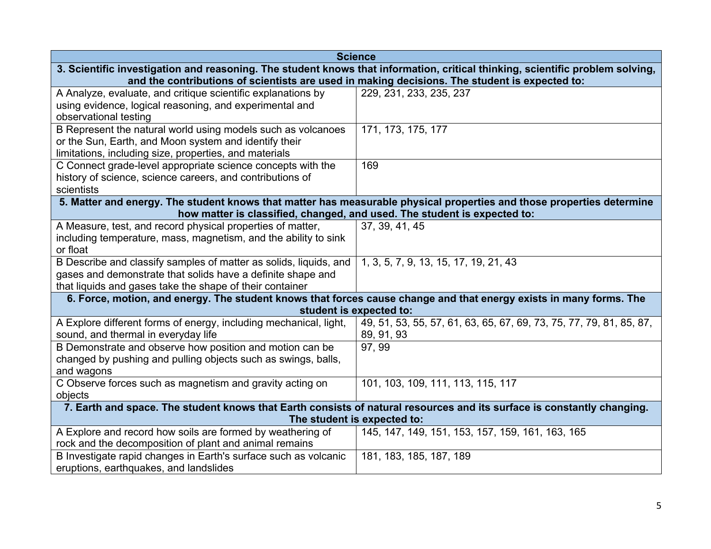|                                                                                                                               | <b>Science</b>                                                                                                     |  |
|-------------------------------------------------------------------------------------------------------------------------------|--------------------------------------------------------------------------------------------------------------------|--|
| 3. Scientific investigation and reasoning. The student knows that information, critical thinking, scientific problem solving, |                                                                                                                    |  |
|                                                                                                                               | and the contributions of scientists are used in making decisions. The student is expected to:                      |  |
| A Analyze, evaluate, and critique scientific explanations by                                                                  | 229, 231, 233, 235, 237                                                                                            |  |
| using evidence, logical reasoning, and experimental and                                                                       |                                                                                                                    |  |
| observational testing                                                                                                         |                                                                                                                    |  |
| B Represent the natural world using models such as volcanoes                                                                  | 171, 173, 175, 177                                                                                                 |  |
| or the Sun, Earth, and Moon system and identify their                                                                         |                                                                                                                    |  |
| limitations, including size, properties, and materials                                                                        |                                                                                                                    |  |
| C Connect grade-level appropriate science concepts with the                                                                   | 169                                                                                                                |  |
| history of science, science careers, and contributions of                                                                     |                                                                                                                    |  |
| scientists                                                                                                                    |                                                                                                                    |  |
| 5. Matter and energy. The student knows that matter has measurable physical properties and those properties determine         |                                                                                                                    |  |
|                                                                                                                               | how matter is classified, changed, and used. The student is expected to:                                           |  |
| A Measure, test, and record physical properties of matter,                                                                    | 37, 39, 41, 45                                                                                                     |  |
| including temperature, mass, magnetism, and the ability to sink                                                               |                                                                                                                    |  |
| or float                                                                                                                      |                                                                                                                    |  |
| B Describe and classify samples of matter as solids, liquids, and                                                             | 1, 3, 5, 7, 9, 13, 15, 17, 19, 21, 43                                                                              |  |
| gases and demonstrate that solids have a definite shape and                                                                   |                                                                                                                    |  |
| that liquids and gases take the shape of their container                                                                      |                                                                                                                    |  |
|                                                                                                                               | 6. Force, motion, and energy. The student knows that forces cause change and that energy exists in many forms. The |  |
| student is expected to:                                                                                                       |                                                                                                                    |  |
| A Explore different forms of energy, including mechanical, light,                                                             | 49, 51, 53, 55, 57, 61, 63, 65, 67, 69, 73, 75, 77, 79, 81, 85, 87,                                                |  |
| sound, and thermal in everyday life                                                                                           | 89, 91, 93                                                                                                         |  |
| B Demonstrate and observe how position and motion can be                                                                      | 97, 99                                                                                                             |  |
| changed by pushing and pulling objects such as swings, balls,                                                                 |                                                                                                                    |  |
| and wagons                                                                                                                    |                                                                                                                    |  |
| C Observe forces such as magnetism and gravity acting on                                                                      | 101, 103, 109, 111, 113, 115, 117                                                                                  |  |
| objects                                                                                                                       |                                                                                                                    |  |
| 7. Earth and space. The student knows that Earth consists of natural resources and its surface is constantly changing.        |                                                                                                                    |  |
| The student is expected to:                                                                                                   |                                                                                                                    |  |
| A Explore and record how soils are formed by weathering of                                                                    | 145, 147, 149, 151, 153, 157, 159, 161, 163, 165                                                                   |  |
| rock and the decomposition of plant and animal remains                                                                        |                                                                                                                    |  |
| B Investigate rapid changes in Earth's surface such as volcanic                                                               | 181, 183, 185, 187, 189                                                                                            |  |
| eruptions, earthquakes, and landslides                                                                                        |                                                                                                                    |  |